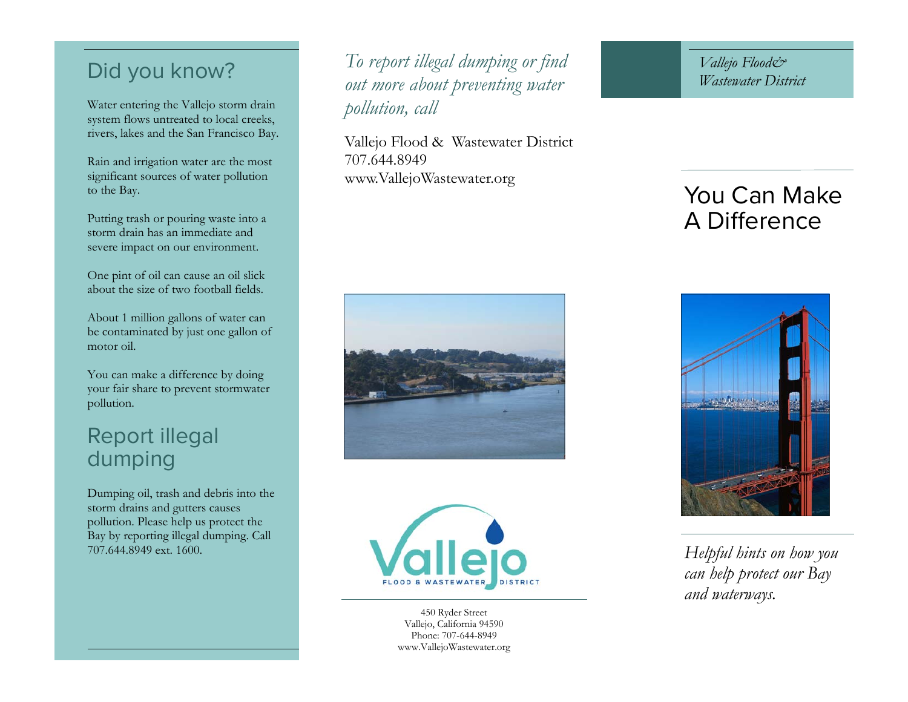## Did you know?

Water entering the Vallejo storm drain system flows untreated to local creeks, rivers, lakes and the San Francisco Bay.

Rain and irrigation water are the most significant sources of water pollution to the Bay.

Putting trash or pouring waste into a storm drain has an immediate and severe impact on our environment.

One pint of oil can cause an oil slick about the size of two football fields.

About 1 million gallons of water can be contaminated by just one gallon of motor oil.

You can make a difference by doing your fair share to prevent stormwater pollution.

# Report illegal dumping

Dumping oil, trash and debris into the storm drains and gutters causes pollution. Please help us protect the Bay by reporting illegal dumping. Call 707.644.8949 ext. 1600.

*To report illegal dumping or find out more about preventing water pollution, call* 

Vallejo Flood & Wastewater District 707.644.8949 www.VallejoWastewater.org

*Vallejo Flood& Wastewater District* 

# You Can Make A Difference





450 Ryder Street Vallejo, California 94590 Phone: 707-644-8949 www.VallejoWastewater.org



*Helpful hints on how you can help protect our Bay and waterways.*